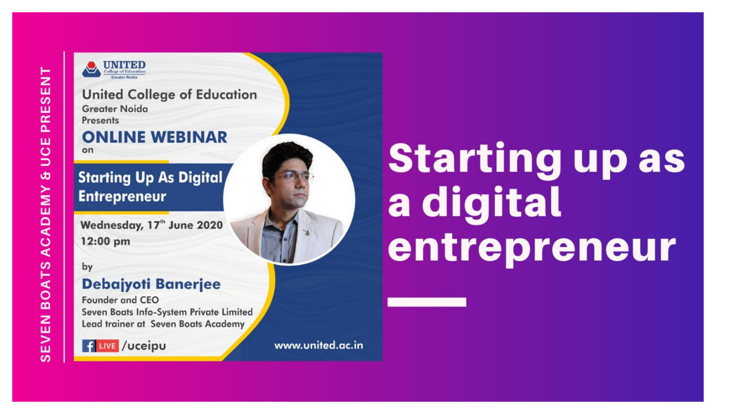

**United College of Education Greater Noida Presents** 

#### **ONLINE WEBINAR**  $on$

#### **Starting Up As Digital, Entrepreneur**

Wednesday, 17<sup>th</sup> June 2020 12:00 pm

by

#### **Debajyoti Banerjee**

**Founder and CEO** Seven Boats Info-System Private Limited Lead trainer at Seven Boats Academy



www.united.ac.in

# **Starting up as** a digital entrepreneur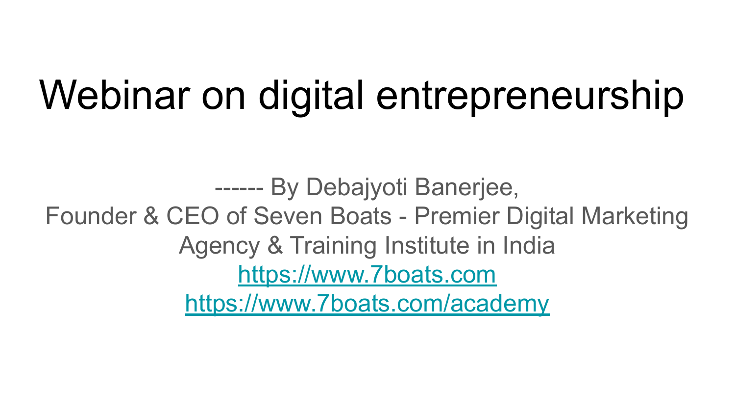## Webinar on digital entrepreneurship

------ By Debajyoti Banerjee, Founder & CEO of Seven Boats - Premier Digital Marketing Agency & Training Institute in India <https://www.7boats.com> <https://www.7boats.com/academy>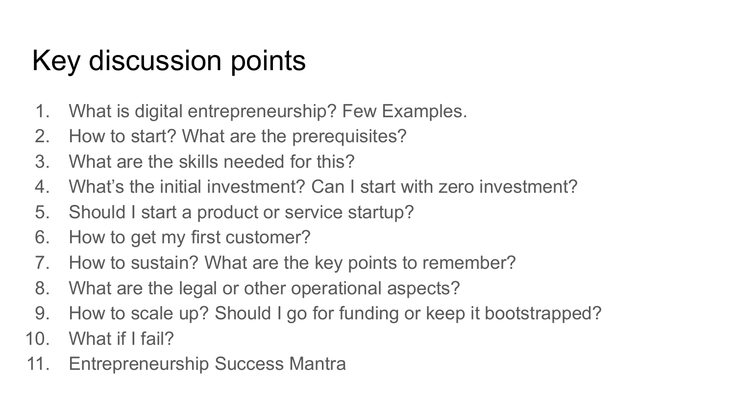### Key discussion points

- 1. What is digital entrepreneurship? Few Examples.
- 2. How to start? What are the prerequisites?
- 3. What are the skills needed for this?
- 4. What's the initial investment? Can I start with zero investment?
- 5. Should I start a product or service startup?
- 6. How to get my first customer?
- 7. How to sustain? What are the key points to remember?
- 8. What are the legal or other operational aspects?
- 9. How to scale up? Should I go for funding or keep it bootstrapped?
- 10. What if I fail?
- 11. Entrepreneurship Success Mantra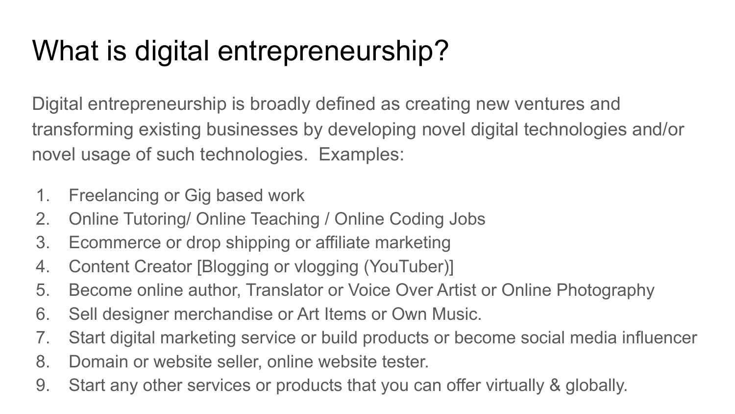### What is digital entrepreneurship?

Digital entrepreneurship is broadly defined as creating new ventures and transforming existing businesses by developing novel digital technologies and/or novel usage of such technologies. Examples:

- 1. Freelancing or Gig based work
- 2. Online Tutoring/ Online Teaching / Online Coding Jobs
- 3. Ecommerce or drop shipping or affiliate marketing
- 4. Content Creator [Blogging or vlogging (YouTuber)]
- 5. Become online author, Translator or Voice Over Artist or Online Photography
- 6. Sell designer merchandise or Art Items or Own Music.
- 7. Start digital marketing service or build products or become social media influencer
- 8. Domain or website seller, online website tester.
- 9. Start any other services or products that you can offer virtually & globally.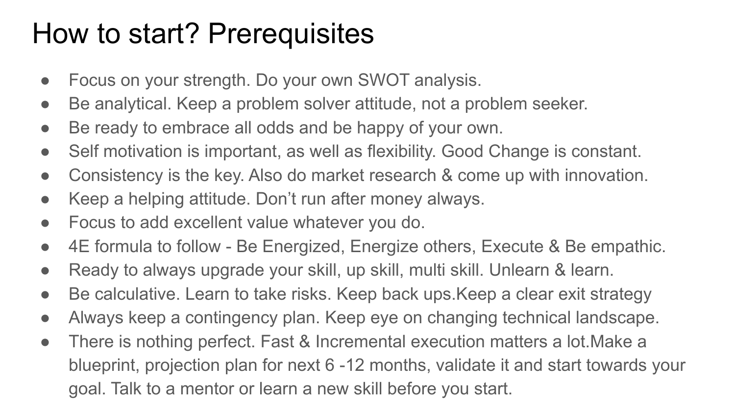#### How to start? Prerequisites

- Focus on your strength. Do your own SWOT analysis.
- Be analytical. Keep a problem solver attitude, not a problem seeker.
- Be ready to embrace all odds and be happy of your own.
- Self motivation is important, as well as flexibility. Good Change is constant.
- Consistency is the key. Also do market research & come up with innovation.
- Keep a helping attitude. Don't run after money always.
- Focus to add excellent value whatever you do.
- 4E formula to follow Be Energized, Energize others, Execute & Be empathic.
- Ready to always upgrade your skill, up skill, multi skill. Unlearn & learn.
- Be calculative. Learn to take risks. Keep back ups. Keep a clear exit strategy
- Always keep a contingency plan. Keep eye on changing technical landscape.
- There is nothing perfect. Fast & Incremental execution matters a lot. Make a blueprint, projection plan for next 6 -12 months, validate it and start towards your goal. Talk to a mentor or learn a new skill before you start.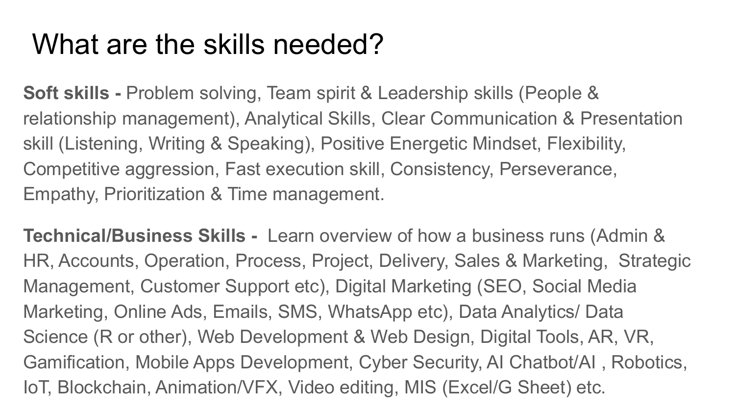#### What are the skills needed?

**Soft skills - Problem solving, Team spirit & Leadership skills (People &** relationship management), Analytical Skills, Clear Communication & Presentation skill (Listening, Writing & Speaking), Positive Energetic Mindset, Flexibility, Competitive aggression, Fast execution skill, Consistency, Perseverance, Empathy, Prioritization & Time management.

**Technical/Business Skills -** Learn overview of how a business runs (Admin & HR, Accounts, Operation, Process, Project, Delivery, Sales & Marketing, Strategic Management, Customer Support etc), Digital Marketing (SEO, Social Media Marketing, Online Ads, Emails, SMS, WhatsApp etc), Data Analytics/ Data Science (R or other), Web Development & Web Design, Digital Tools, AR, VR, Gamification, Mobile Apps Development, Cyber Security, AI Chatbot/AI , Robotics, IoT, Blockchain, Animation/VFX, Video editing, MIS (Excel/G Sheet) etc.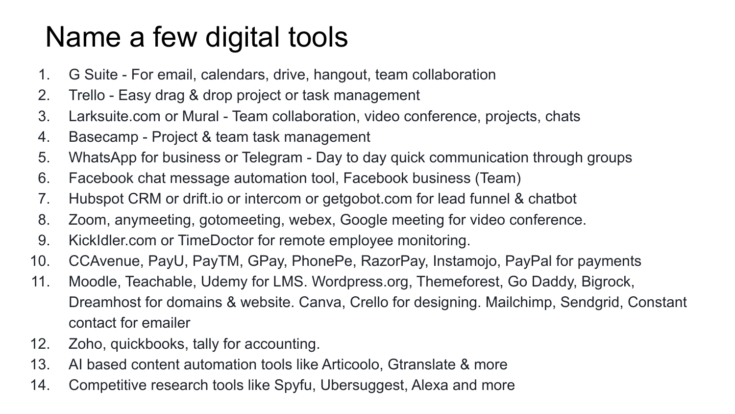### Name a few digital tools

- 1. G Suite For email, calendars, drive, hangout, team collaboration
- 2. Trello Easy drag & drop project or task management
- 3. Larksuite.com or Mural Team collaboration, video conference, projects, chats
- 4. Basecamp Project & team task management
- 5. WhatsApp for business or Telegram Day to day quick communication through groups
- 6. Facebook chat message automation tool, Facebook business (Team)
- 7. Hubspot CRM or drift.io or intercom or getgobot.com for lead funnel & chatbot
- 8. Zoom, anymeeting, gotomeeting, webex, Google meeting for video conference.
- 9. KickIdler.com or TimeDoctor for remote employee monitoring.
- 10. CCAvenue, PayU, PayTM, GPay, PhonePe, RazorPay, Instamojo, PayPal for payments
- 11. Moodle, Teachable, Udemy for LMS. Wordpress.org, Themeforest, Go Daddy, Bigrock, Dreamhost for domains & website. Canva, Crello for designing. Mailchimp, Sendgrid, Constant contact for emailer
- 12. Zoho, quickbooks, tally for accounting.
- 13. AI based content automation tools like Articoolo, Gtranslate & more
- 14. Competitive research tools like Spyfu, Ubersuggest, Alexa and more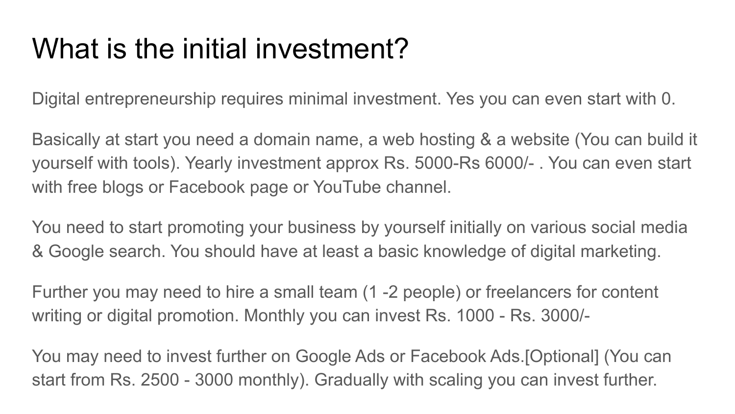### What is the initial investment?

Digital entrepreneurship requires minimal investment. Yes you can even start with 0.

Basically at start you need a domain name, a web hosting & a website (You can build it yourself with tools). Yearly investment approx Rs. 5000-Rs 6000/- . You can even start with free blogs or Facebook page or YouTube channel.

You need to start promoting your business by yourself initially on various social media & Google search. You should have at least a basic knowledge of digital marketing.

Further you may need to hire a small team (1 -2 people) or freelancers for content writing or digital promotion. Monthly you can invest Rs. 1000 - Rs. 3000/-

You may need to invest further on Google Ads or Facebook Ads.[Optional] (You can start from Rs. 2500 - 3000 monthly). Gradually with scaling you can invest further.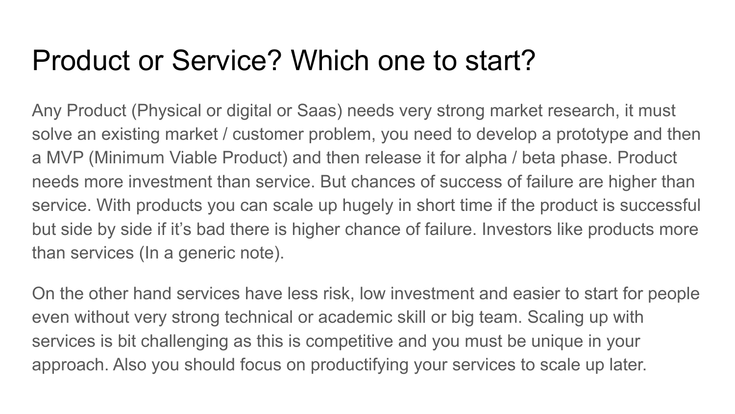#### Product or Service? Which one to start?

Any Product (Physical or digital or Saas) needs very strong market research, it must solve an existing market / customer problem, you need to develop a prototype and then a MVP (Minimum Viable Product) and then release it for alpha / beta phase. Product needs more investment than service. But chances of success of failure are higher than service. With products you can scale up hugely in short time if the product is successful but side by side if it's bad there is higher chance of failure. Investors like products more than services (In a generic note).

On the other hand services have less risk, low investment and easier to start for people even without very strong technical or academic skill or big team. Scaling up with services is bit challenging as this is competitive and you must be unique in your approach. Also you should focus on productifying your services to scale up later.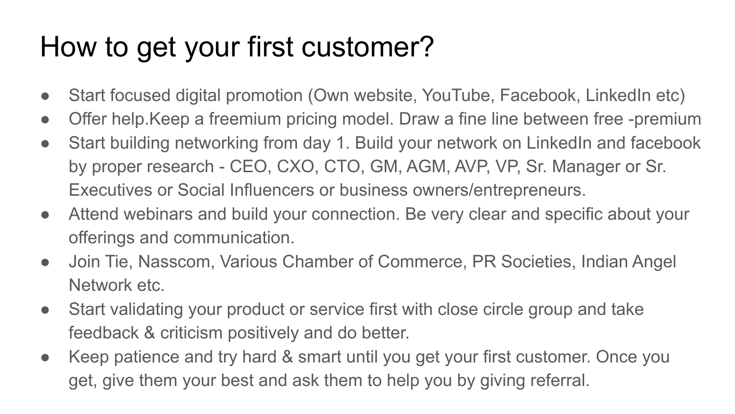### How to get your first customer?

- Start focused digital promotion (Own website, YouTube, Facebook, LinkedIn etc)
- Offer help. Keep a freemium pricing model. Draw a fine line between free -premium
- Start building networking from day 1. Build your network on LinkedIn and facebook by proper research - CEO, CXO, CTO, GM, AGM, AVP, VP, Sr. Manager or Sr. Executives or Social Influencers or business owners/entrepreneurs.
- Attend webinars and build your connection. Be very clear and specific about your offerings and communication.
- Join Tie, Nasscom, Various Chamber of Commerce, PR Societies, Indian Angel Network etc.
- Start validating your product or service first with close circle group and take feedback & criticism positively and do better.
- Keep patience and try hard & smart until you get your first customer. Once you get, give them your best and ask them to help you by giving referral.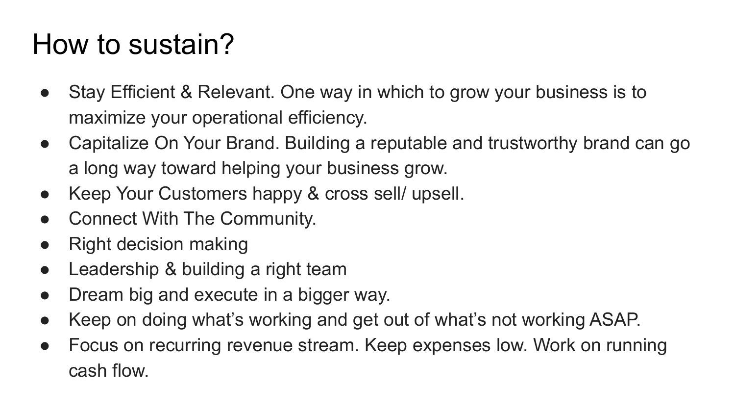### How to sustain?

- Stay Efficient & Relevant. One way in which to grow your business is to maximize your operational efficiency.
- Capitalize On Your Brand. Building a reputable and trustworthy brand can go a long way toward helping your business grow.
- Keep Your Customers happy & cross sell/ upsell.
- Connect With The Community.
- Right decision making
- Leadership & building a right team
- Dream big and execute in a bigger way.
- Keep on doing what's working and get out of what's not working ASAP.
- Focus on recurring revenue stream. Keep expenses low. Work on running cash flow.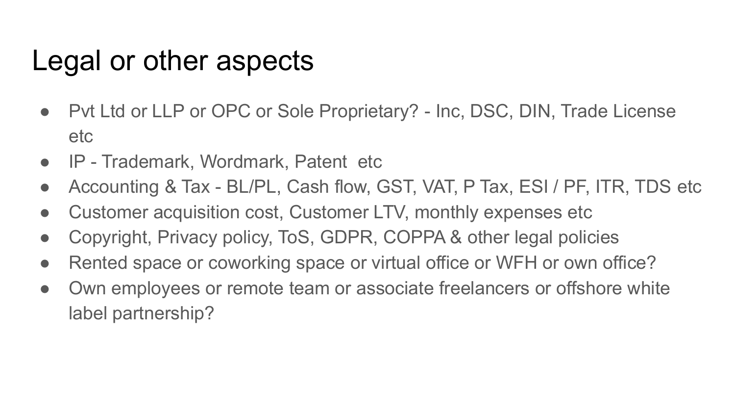#### Legal or other aspects

- Pvt Ltd or LLP or OPC or Sole Proprietary? Inc, DSC, DIN, Trade License etc
- IP Trademark, Wordmark, Patent etc
- Accounting & Tax BL/PL, Cash flow, GST, VAT, P Tax, ESI / PF, ITR, TDS etc
- Customer acquisition cost, Customer LTV, monthly expenses etc
- Copyright, Privacy policy, ToS, GDPR, COPPA & other legal policies
- Rented space or coworking space or virtual office or WFH or own office?
- Own employees or remote team or associate freelancers or offshore white label partnership?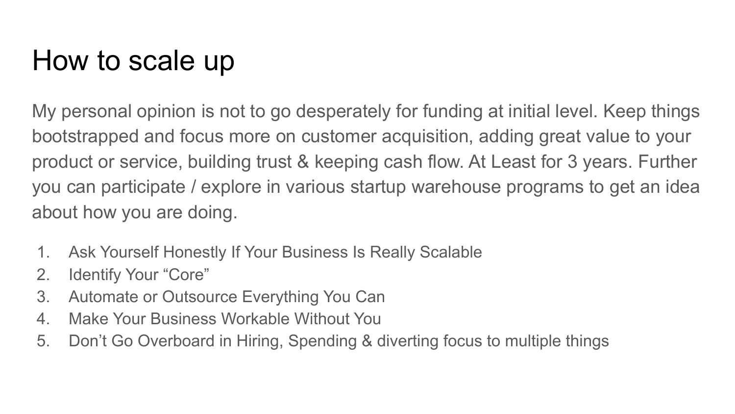### How to scale up

My personal opinion is not to go desperately for funding at initial level. Keep things bootstrapped and focus more on customer acquisition, adding great value to your product or service, building trust & keeping cash flow. At Least for 3 years. Further you can participate / explore in various startup warehouse programs to get an idea about how you are doing.

- 1. Ask Yourself Honestly If Your Business Is Really Scalable
- 2. Identify Your "Core"
- 3. Automate or Outsource Everything You Can
- 4. Make Your Business Workable Without You
- 5. Don't Go Overboard in Hiring, Spending & diverting focus to multiple things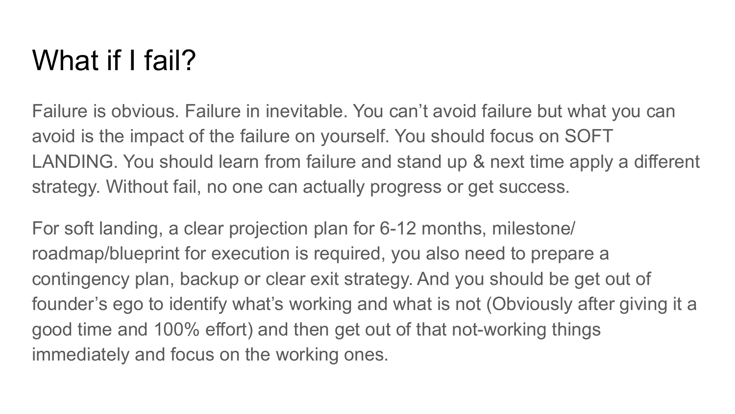#### What if I fail?

Failure is obvious. Failure in inevitable. You can't avoid failure but what you can avoid is the impact of the failure on yourself. You should focus on SOFT LANDING. You should learn from failure and stand up & next time apply a different strategy. Without fail, no one can actually progress or get success.

For soft landing, a clear projection plan for 6-12 months, milestone/ roadmap/blueprint for execution is required, you also need to prepare a contingency plan, backup or clear exit strategy. And you should be get out of founder's ego to identify what's working and what is not (Obviously after giving it a good time and 100% effort) and then get out of that not-working things immediately and focus on the working ones.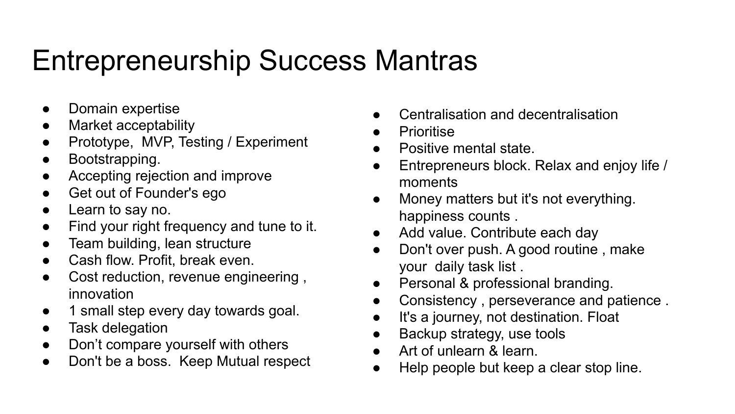### Entrepreneurship Success Mantras

- Domain expertise
- Market acceptability
- Prototype, MVP, Testing / Experiment
- Bootstrapping.
- Accepting rejection and improve
- Get out of Founder's ego
- Learn to say no.
- Find your right frequency and tune to it.
- Team building, lean structure
- Cash flow. Profit, break even.
- Cost reduction, revenue engineering, innovation
- 1 small step every day towards goal.
- Task delegation
- Don't compare yourself with others
- Don't be a boss. Keep Mutual respect
- Centralisation and decentralisation
- **Prioritise**
- Positive mental state.
- Entrepreneurs block. Relax and enjoy life / moments
- Money matters but it's not everything. happiness counts .
- Add value. Contribute each day
- Don't over push. A good routine, make your daily task list .
- Personal & professional branding.
- Consistency, perseverance and patience.
- It's a journey, not destination. Float
- Backup strategy, use tools
- Art of unlearn & learn.
- Help people but keep a clear stop line.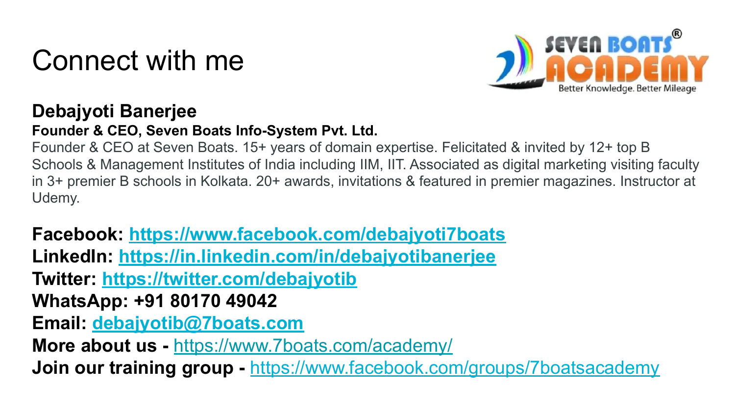#### Connect with me



#### **Debajyoti Banerjee**

#### **Founder & CEO, Seven Boats Info-System Pvt. Ltd.**

Founder & CEO at Seven Boats. 15+ years of domain expertise. Felicitated & invited by 12+ top B Schools & Management Institutes of India including IIM, IIT. Associated as digital marketing visiting faculty in 3+ premier B schools in Kolkata. 20+ awards, invitations & featured in premier magazines. Instructor at Udemy.

**Facebook:<https://www.facebook.com/debajyoti7boats> LinkedIn:<https://in.linkedin.com/in/debajyotibanerjee> Twitter: <https://twitter.com/debajyotib> WhatsApp: +91 80170 49042 Email: [debajyotib@7boats.com](mailto:debajyotib@7boats.com) More about us -** <https://www.7boats.com/academy/> **Join our training group - [https://www.facebook.com/groups/7boatsacademy](https://www.facebook.com/groups/7boatsacademy/)**